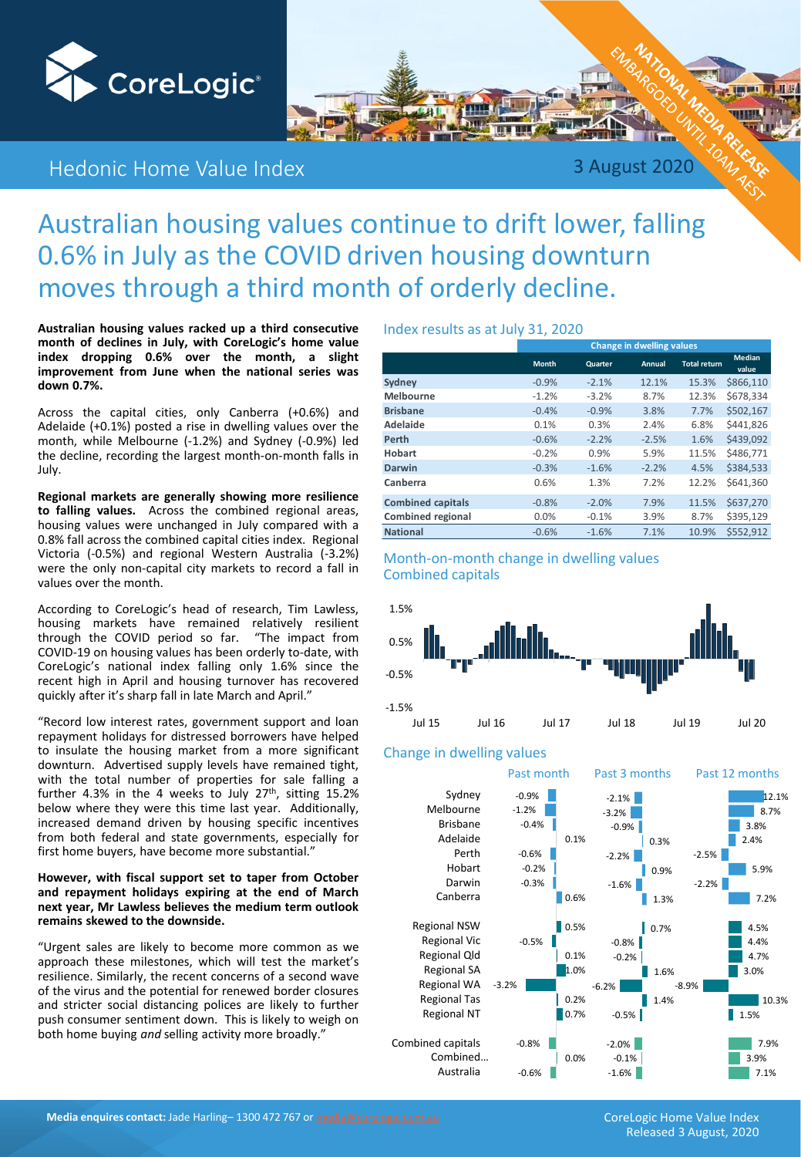

# Hedonic Home Value Index 3 August 2020

# Australian housing values continue to drift lower, falling 0.6% in July as the COVID driven housing downturn moves through a third month of orderly decline.

**Australian housing values racked up a third consecutive month of declines in July, with CoreLogic's home value index dropping 0.6% over the month, a slight improvement from June when the national series was down 0.7%.**

Across the capital cities, only Canberra (+0.6%) and Adelaide (+0.1%) posted a rise in dwelling values over the month, while Melbourne (-1.2%) and Sydney (-0.9%) led the decline, recording the largest month-on-month falls in July.

**Regional markets are generally showing more resilience to falling values.** Across the combined regional areas, housing values were unchanged in July compared with a 0.8% fall across the combined capital cities index. Regional Victoria (-0.5%) and regional Western Australia (-3.2%) were the only non-capital city markets to record a fall in values over the month.

According to CoreLogic's head of research, Tim Lawless, housing markets have remained relatively resilient<br>through the COVID period so far. "The impact from through the COVID period so far. COVID-19 on housing values has been orderly to-date, with CoreLogic's national index falling only 1.6% since the recent high in April and housing turnover has recovered quickly after it's sharp fall in late March and April."

"Record low interest rates, government support and loan repayment holidays for distressed borrowers have helped to insulate the housing market from a more significant downturn. Advertised supply levels have remained tight, with the total number of properties for sale falling a further 4.3% in the 4 weeks to July 27<sup>th</sup>, sitting 15.2% below where they were this time last year. Additionally, increased demand driven by housing specific incentives from both federal and state governments, especially for first home buyers, have become more substantial."

#### **However, with fiscal support set to taper from October and repayment holidays expiring at the end of March next year, Mr Lawless believes the medium term outlook remains skewed to the downside.**

"Urgent sales are likely to become more common as we approach these milestones, which will test the market's resilience. Similarly, the recent concerns of a second wave of the virus and the potential for renewed border closures and stricter social distancing polices are likely to further push consumer sentiment down. This is likely to weigh on both home buying *and* selling activity more broadly."

#### Index results as at July 31, 2020

|                          | <b>Change in dwelling values</b> |         |               |                     |                        |  |  |  |  |  |  |  |
|--------------------------|----------------------------------|---------|---------------|---------------------|------------------------|--|--|--|--|--|--|--|
|                          | <b>Month</b>                     | Quarter | <b>Annual</b> | <b>Total return</b> | <b>Median</b><br>value |  |  |  |  |  |  |  |
| Sydney                   | $-0.9%$                          | $-2.1%$ | 12.1%         | 15.3%               | \$866.110              |  |  |  |  |  |  |  |
| <b>Melbourne</b>         | $-1.2%$                          | $-3.2%$ | 8.7%          | 12.3%               | \$678.334              |  |  |  |  |  |  |  |
| <b>Brisbane</b>          | $-0.4%$                          | $-0.9%$ | 3.8%          | 7.7%                | \$502,167              |  |  |  |  |  |  |  |
| Adelaide                 | 0.1%                             | 0.3%    | 2.4%          | 6.8%                | \$441.826              |  |  |  |  |  |  |  |
| Perth                    | $-0.6%$                          | $-2.2%$ | $-2.5%$       | 1.6%                | \$439.092              |  |  |  |  |  |  |  |
| Hobart                   | $-0.2%$                          | 0.9%    | 5.9%          | 11.5%               | \$486,771              |  |  |  |  |  |  |  |
| Darwin                   | $-0.3%$                          | $-1.6%$ | $-2.2%$       | 4.5%                | \$384,533              |  |  |  |  |  |  |  |
| Canberra                 | 0.6%                             | 1.3%    | 7.2%          | 12.2%               | \$641.360              |  |  |  |  |  |  |  |
| <b>Combined capitals</b> | $-0.8%$                          | $-2.0%$ | 7.9%          | 11.5%               | \$637,270              |  |  |  |  |  |  |  |
| Combined regional        | 0.0%                             | $-0.1%$ | 3.9%          | 8.7%                | \$395,129              |  |  |  |  |  |  |  |
| <b>National</b>          | $-0.6%$                          | $-1.6%$ | 7.1%          | 10.9%               | \$552.912              |  |  |  |  |  |  |  |

## Month-on-month change in dwelling values Combined capitals



# Change in dwelling values

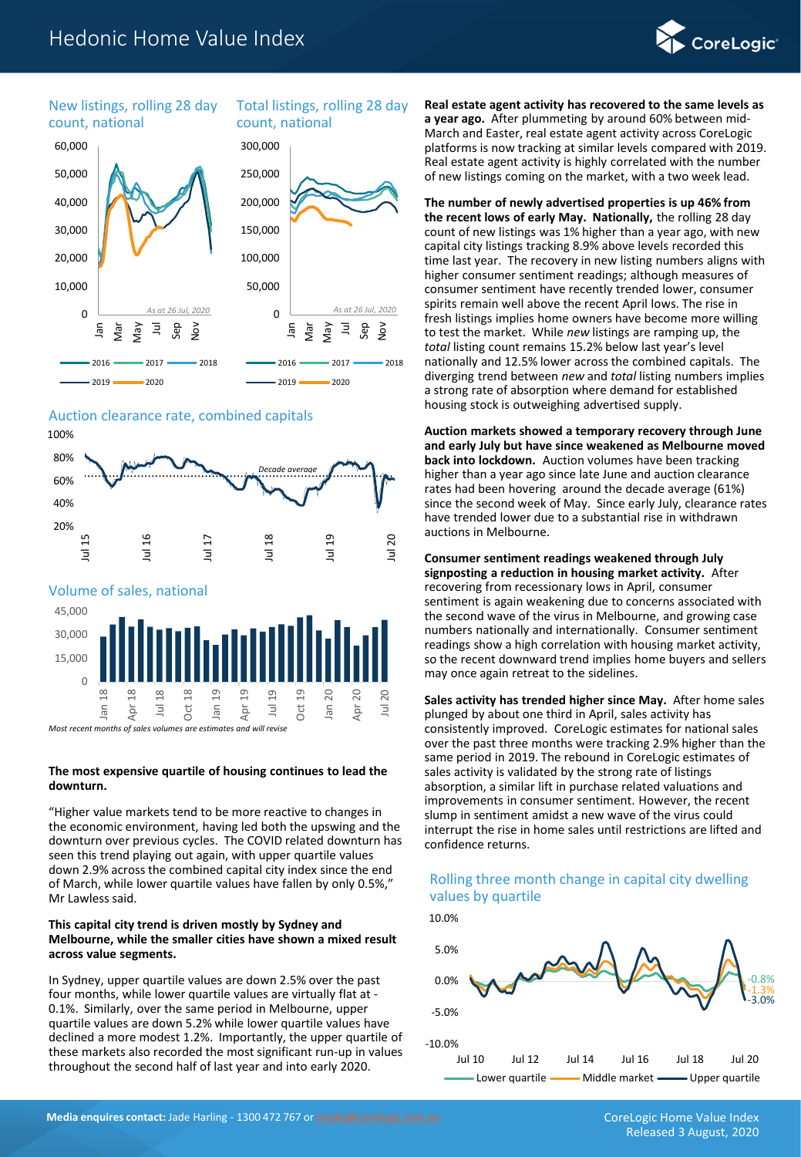# Hedonic Home Value Index



New listings, rolling 28 day count, national

# Total listings, rolling 28 day count, national



## Auction clearance rate, combined capitals



*Most recent months of sales volumes are estimates and will revis* 

#### **The most expensive quartile of housing continues to lead the downturn.**

"Higher value markets tend to be more reactive to changes in the economic environment, having led both the upswing and the downturn over previous cycles. The COVID related downturn has seen this trend playing out again, with upper quartile values down 2.9% across the combined capital city index since the end of March, while lower quartile values have fallen by only 0.5%," Mr Lawless said.

#### **This capital city trend is driven mostly by Sydney and Melbourne, while the smaller cities have shown a mixed result across value segments.**

In Sydney, upper quartile values are down 2.5% over the past four months, while lower quartile values are virtually flat at - 0.1%. Similarly, over the same period in Melbourne, upper quartile values are down 5.2% while lower quartile values have declined a more modest 1.2%. Importantly, the upper quartile of these markets also recorded the most significant run-up in values throughout the second half of last year and into early 2020.

**Real estate agent activity has recovered to the same levels as a year ago.** After plummeting by around 60% between mid-March and Easter, real estate agent activity across CoreLogic platforms is now tracking at similar levels compared with 2019. Real estate agent activity is highly correlated with the number of new listings coming on the market, with a two week lead.

#### **The number of newly advertised properties is up 46% from the recent lows of early May. Nationally,** the rolling 28 day count of new listings was 1% higher than a year ago, with new capital city listings tracking 8.9% above levels recorded this time last year. The recovery in new listing numbers aligns with higher consumer sentiment readings; although measures of consumer sentiment have recently trended lower, consumer spirits remain well above the recent April lows. The rise in fresh listings implies home owners have become more willing to test the market. While *new* listings are ramping up, the *total* listing count remains 15.2% below last year's level nationally and 12.5% lower across the combined capitals. The diverging trend between *new* and *total* listing numbers implies a strong rate of absorption where demand for established housing stock is outweighing advertised supply.

**Auction markets showed a temporary recovery through June and early July but have since weakened as Melbourne moved back into lockdown.** Auction volumes have been tracking higher than a year ago since late June and auction clearance rates had been hovering around the decade average (61%) since the second week of May. Since early July, clearance rates have trended lower due to a substantial rise in withdrawn auctions in Melbourne.

**Consumer sentiment readings weakened through July signposting a reduction in housing market activity.** After recovering from recessionary lows in April, consumer sentiment is again weakening due to concerns associated with the second wave of the virus in Melbourne, and growing case numbers nationally and internationally. Consumer sentiment readings show a high correlation with housing market activity, so the recent downward trend implies home buyers and sellers may once again retreat to the sidelines.

**Sales activity has trended higher since May.** After home sales plunged by about one third in April, sales activity has consistently improved. CoreLogic estimates for national sales over the past three months were tracking 2.9% higher than the same period in 2019. The rebound in CoreLogic estimates of sales activity is validated by the strong rate of listings absorption, a similar lift in purchase related valuations and improvements in consumer sentiment. However, the recent slump in sentiment amidst a new wave of the virus could interrupt the rise in home sales until restrictions are lifted and confidence returns.

# Rolling three month change in capital city dwelling values by quartile

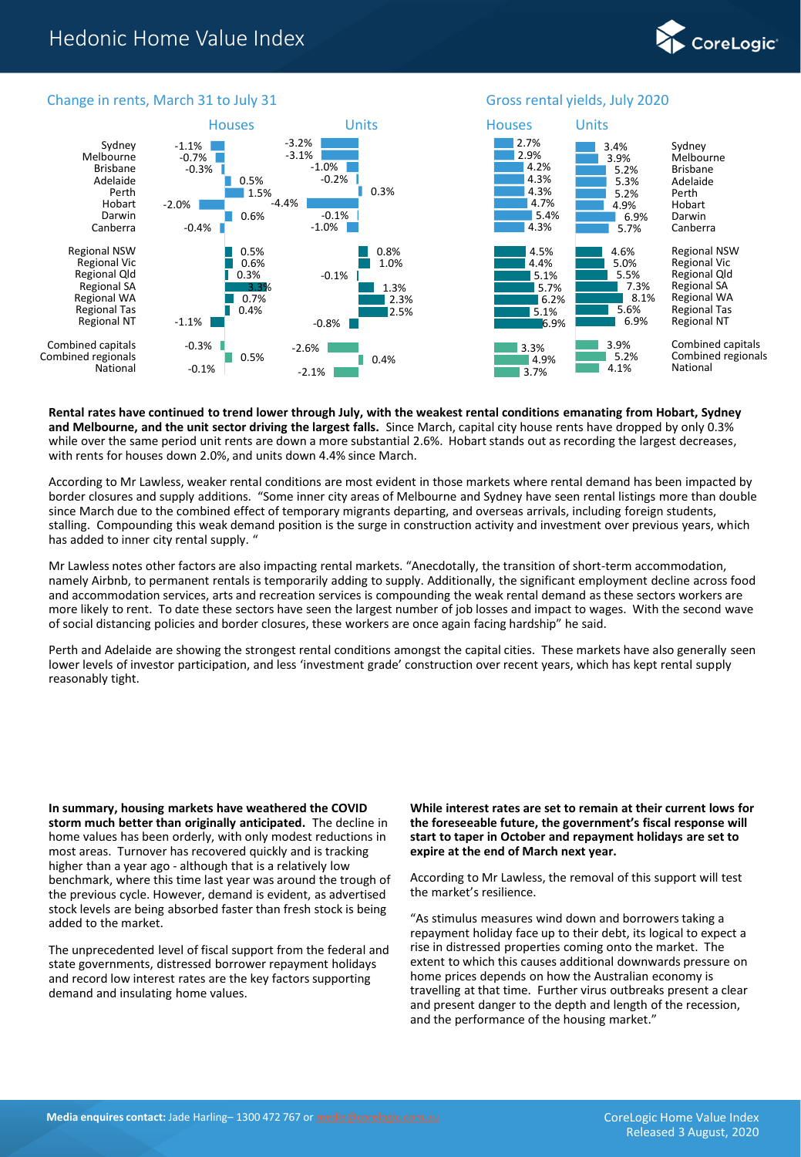



#### Change in rents, March 31 to July 31 Gross rental yields, July 2020

**Rental rates have continued to trend lower through July, with the weakest rental conditions emanating from Hobart, Sydney and Melbourne, and the unit sector driving the largest falls.** Since March, capital city house rents have dropped by only 0.3% while over the same period unit rents are down a more substantial 2.6%. Hobart stands out as recording the largest decreases, with rents for houses down 2.0%, and units down 4.4% since March.

According to Mr Lawless, weaker rental conditions are most evident in those markets where rental demand has been impacted by border closures and supply additions. "Some inner city areas of Melbourne and Sydney have seen rental listings more than double since March due to the combined effect of temporary migrants departing, and overseas arrivals, including foreign students, stalling. Compounding this weak demand position is the surge in construction activity and investment over previous years, which has added to inner city rental supply. "

Mr Lawless notes other factors are also impacting rental markets. "Anecdotally, the transition of short-term accommodation, namely Airbnb, to permanent rentals is temporarily adding to supply. Additionally, the significant employment decline across food and accommodation services, arts and recreation services is compounding the weak rental demand as these sectors workers are more likely to rent. To date these sectors have seen the largest number of job losses and impact to wages. With the second wave of social distancing policies and border closures, these workers are once again facing hardship" he said.

Perth and Adelaide are showing the strongest rental conditions amongst the capital cities. These markets have also generally seen lower levels of investor participation, and less 'investment grade' construction over recent years, which has kept rental supply reasonably tight.

**In summary, housing markets have weathered the COVID storm much better than originally anticipated.** The decline in home values has been orderly, with only modest reductions in most areas. Turnover has recovered quickly and is tracking higher than a year ago - although that is a relatively low benchmark, where this time last year was around the trough of the previous cycle. However, demand is evident, as advertised stock levels are being absorbed faster than fresh stock is being added to the market.

The unprecedented level of fiscal support from the federal and state governments, distressed borrower repayment holidays and record low interest rates are the key factors supporting demand and insulating home values.

**While interest rates are set to remain at their current lows for the foreseeable future, the government's fiscal response will start to taper in October and repayment holidays are set to expire at the end of March next year.** 

According to Mr Lawless, the removal of this support will test the market's resilience.

"As stimulus measures wind down and borrowers taking a repayment holiday face up to their debt, its logical to expect a rise in distressed properties coming onto the market. The extent to which this causes additional downwards pressure on home prices depends on how the Australian economy is travelling at that time. Further virus outbreaks present a clear and present danger to the depth and length of the recession, and the performance of the housing market."